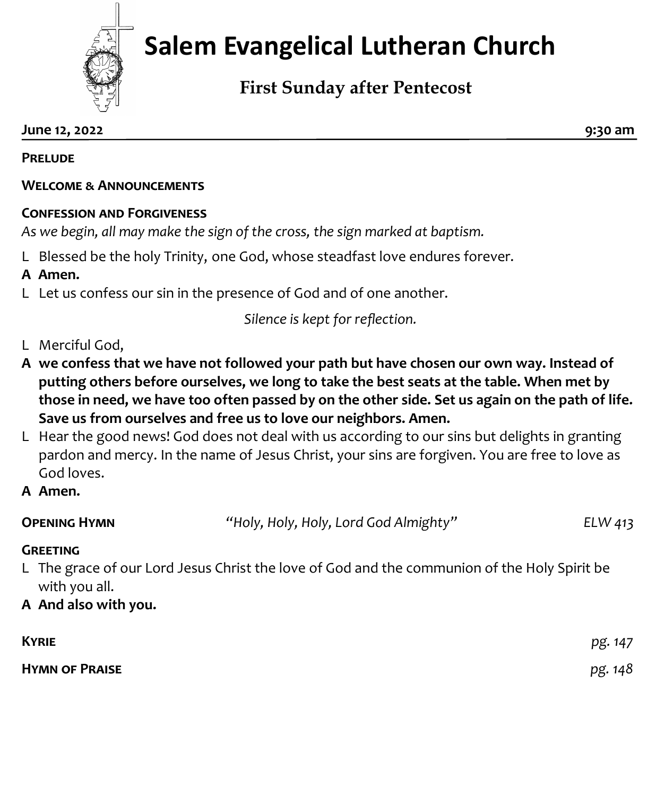

# **Salem Evangelical Lutheran Church**

## **First Sunday after Pentecost**

**June 12, 2022 9:30 am**

**Prelude** 

#### **Welcome & Announcements**

#### **Confession and Forgiveness**

*As we begin, all may make the sign of the cross, the sign marked at baptism.*

L Blessed be the holy Trinity, one God, whose steadfast love endures forever.

#### **A Amen.**

L Let us confess our sin in the presence of God and of one another.

*Silence is kept for reflection.*

### L Merciful God,

- **A we confess that we have not followed your path but have chosen our own way. Instead of putting others before ourselves, we long to take the best seats at the table. When met by those in need, we have too often passed by on the other side. Set us again on the path of life. Save us from ourselves and free us to love our neighbors. Amen.**
- L Hear the good news! God does not deal with us according to our sins but delights in granting pardon and mercy. In the name of Jesus Christ, your sins are forgiven. You are free to love as God loves.
- **A Amen.**

| <b>OPENING HYMN</b> | "Holy, Holy, Holy, Lord God Almighty" | ELW 413 |
|---------------------|---------------------------------------|---------|
|                     |                                       |         |

#### **Greeting**

- L The grace of our Lord Jesus Christ the love of God and the communion of the Holy Spirit be with you all.
- **A And also with you.**

| <b>KYRIE</b>          | pg. 147 |
|-----------------------|---------|
| <b>HYMN OF PRAISE</b> | pg. 148 |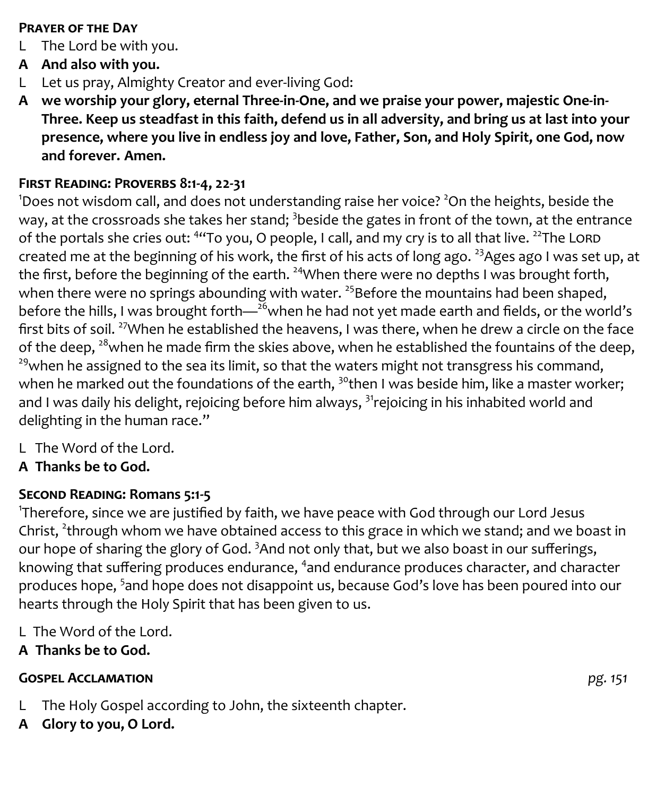#### **Prayer of the Day**

- L The Lord be with you.
- **A And also with you.**
- L Let us pray, Almighty Creator and ever-living God:
- **A we worship your glory, eternal Three-in-One, and we praise your power, majestic One-in-Three. Keep us steadfast in this faith, defend us in all adversity, and bring us at last into your presence, where you live in endless joy and love, Father, Son, and Holy Spirit, one God, now and forever. Amen.**

#### **First Reading: Proverbs 8:1-4, 22-31**

 $1$ Does not wisdom call, and does not understanding raise her voice?  $2$ On the heights, beside the way, at the crossroads she takes her stand;  $^3$ beside the gates in front of the town, at the entrance of the portals she cries out: <sup>4</sup>"To you, O people, I call, and my cry is to all that live. <sup>22</sup>The LORD created me at the beginning of his work, the first of his acts of long ago. <sup>23</sup>Ages ago I was set up, at the first, before the beginning of the earth. <sup>24</sup>When there were no depths I was brought forth, when there were no springs abounding with water.  $25B$  Before the mountains had been shaped, before the hills, I was brought forth—<sup>26</sup>when he had not yet made earth and fields, or the world's first bits of soil. <sup>27</sup>When he established the heavens, I was there, when he drew a circle on the face of the deep,  $28$  when he made firm the skies above, when he established the fountains of the deep,  $29$ when he assigned to the sea its limit, so that the waters might not transgress his command, when he marked out the foundations of the earth,  $30$ <sup>o</sup>then I was beside him, like a master worker; and I was daily his delight, rejoicing before him always,  $31$ rejoicing in his inhabited world and delighting in the human race."

- L The Word of the Lord.
- **A Thanks be to God.**

#### **Second Reading: Romans 5:1-5**

1 Therefore, since we are justified by faith, we have peace with God through our Lord Jesus Christ, <sup>2</sup>through whom we have obtained access to this grace in which we stand; and we boast in our hope of sharing the glory of God.<sup>3</sup> And not only that, but we also boast in our sufferings, knowing that suffering produces endurance, <sup>4</sup>and endurance produces character, and character produces hope, <sup>5</sup>and hope does not disappoint us, because God's love has been poured into our hearts through the Holy Spirit that has been given to us.

- L The Word of the Lord.
- **A Thanks be to God.**

#### **Gospel Acclamation** *pg. 151*

- L The Holy Gospel according to John, the sixteenth chapter.
- **A Glory to you, O Lord.**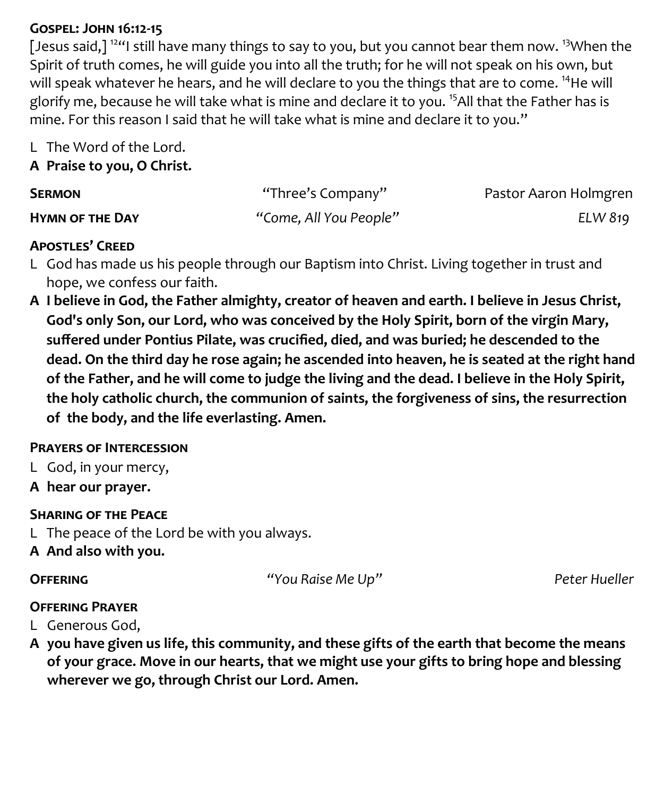#### **Gospel: John 16:12-15**

[Jesus said,]  $124$  still have many things to say to you, but you cannot bear them now.  $13$ When the Spirit of truth comes, he will guide you into all the truth; for he will not speak on his own, but will speak whatever he hears, and he will declare to you the things that are to come. <sup>14</sup>He will glorify me, because he will take what is mine and declare it to you.<sup>15</sup>All that the Father has is mine. For this reason I said that he will take what is mine and declare it to you."

L The Word of the Lord.

#### **A Praise to you, O Christ.**

| <b>SERMON</b>          | "Three's Company"      | Pastor Aaron Holmgren |
|------------------------|------------------------|-----------------------|
| <b>HYMN OF THE DAY</b> | "Come, All You People" | ELW 819               |

#### **Apostles' Creed**

- L God has made us his people through our Baptism into Christ. Living together in trust and hope, we confess our faith.
- **A I believe in God, the Father almighty, creator of heaven and earth. I believe in Jesus Christ, God's only Son, our Lord, who was conceived by the Holy Spirit, born of the virgin Mary, suffered under Pontius Pilate, was crucified, died, and was buried; he descended to the dead. On the third day he rose again; he ascended into heaven, he is seated at the right hand of the Father, and he will come to judge the living and the dead. I believe in the Holy Spirit, the holy catholic church, the communion of saints, the forgiveness of sins, the resurrection of the body, and the life everlasting. Amen.**

#### **Prayers of Intercession**

- L God, in your mercy,
- **A hear our prayer.**

#### **Sharing of the Peace**

- L The peace of the Lord be with you always.
- **A And also with you.**

**Offering** *"You Raise Me Up"**Peter Hueller*

#### **Offering Prayer**

- L Generous God,
- **A you have given us life, this community, and these gifts of the earth that become the means of your grace. Move in our hearts, that we might use your gifts to bring hope and blessing wherever we go, through Christ our Lord. Amen.**